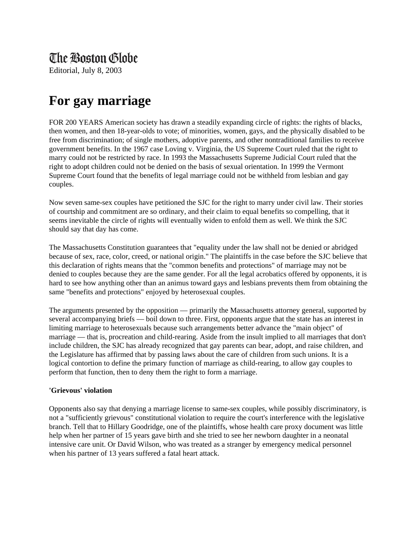## The Boston Globe

Editorial, July 8, 2003

## **For gay marriage**

FOR 200 YEARS American society has drawn a steadily expanding circle of rights: the rights of blacks, then women, and then 18-year-olds to vote; of minorities, women, gays, and the physically disabled to be free from discrimination; of single mothers, adoptive parents, and other nontraditional families to receive government benefits. In the 1967 case Loving v. Virginia, the US Supreme Court ruled that the right to marry could not be restricted by race. In 1993 the Massachusetts Supreme Judicial Court ruled that the right to adopt children could not be denied on the basis of sexual orientation. In 1999 the Vermont Supreme Court found that the benefits of legal marriage could not be withheld from lesbian and gay couples.

Now seven same-sex couples have petitioned the SJC for the right to marry under civil law. Their stories of courtship and commitment are so ordinary, and their claim to equal benefits so compelling, that it seems inevitable the circle of rights will eventually widen to enfold them as well. We think the SJC should say that day has come.

The Massachusetts Constitution guarantees that "equality under the law shall not be denied or abridged because of sex, race, color, creed, or national origin." The plaintiffs in the case before the SJC believe that this declaration of rights means that the "common benefits and protections" of marriage may not be denied to couples because they are the same gender. For all the legal acrobatics offered by opponents, it is hard to see how anything other than an animus toward gays and lesbians prevents them from obtaining the same "benefits and protections" enjoyed by heterosexual couples.

The arguments presented by the opposition — primarily the Massachusetts attorney general, supported by several accompanying briefs — boil down to three. First, opponents argue that the state has an interest in limiting marriage to heterosexuals because such arrangements better advance the "main object" of marriage — that is, procreation and child-rearing. Aside from the insult implied to all marriages that don't include children, the SJC has already recognized that gay parents can bear, adopt, and raise children, and the Legislature has affirmed that by passing laws about the care of children from such unions. It is a logical contortion to define the primary function of marriage as child-rearing, to allow gay couples to perform that function, then to deny them the right to form a marriage.

## **'Grievous' violation**

Opponents also say that denying a marriage license to same-sex couples, while possibly discriminatory, is not a "sufficiently grievous" constitutional violation to require the court's interference with the legislative branch. Tell that to Hillary Goodridge, one of the plaintiffs, whose health care proxy document was little help when her partner of 15 years gave birth and she tried to see her newborn daughter in a neonatal intensive care unit. Or David Wilson, who was treated as a stranger by emergency medical personnel when his partner of 13 years suffered a fatal heart attack.